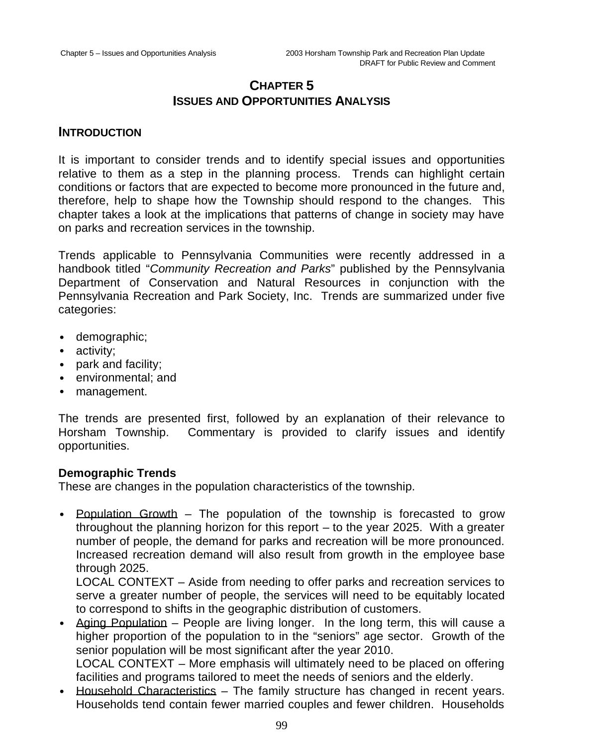# **CHAPTER 5 ISSUES AND OPPORTUNITIES ANALYSIS**

## **INTRODUCTION**

It is important to consider trends and to identify special issues and opportunities relative to them as a step in the planning process. Trends can highlight certain conditions or factors that are expected to become more pronounced in the future and, therefore, help to shape how the Township should respond to the changes. This chapter takes a look at the implications that patterns of change in society may have on parks and recreation services in the township.

Trends applicable to Pennsylvania Communities were recently addressed in a handbook titled "*Community Recreation and Parks*" published by the Pennsylvania Department of Conservation and Natural Resources in conjunction with the Pennsylvania Recreation and Park Society, Inc. Trends are summarized under five categories:

- demographic;
- activity;
- park and facility;
- environmental; and
- management.

The trends are presented first, followed by an explanation of their relevance to Horsham Township. Commentary is provided to clarify issues and identify opportunities.

## **Demographic Trends**

These are changes in the population characteristics of the township.

• Population Growth – The population of the township is forecasted to grow throughout the planning horizon for this report – to the year 2025. With a greater number of people, the demand for parks and recreation will be more pronounced. Increased recreation demand will also result from growth in the employee base through 2025.

LOCAL CONTEXT – Aside from needing to offer parks and recreation services to serve a greater number of people, the services will need to be equitably located to correspond to shifts in the geographic distribution of customers.

• Aging Population – People are living longer. In the long term, this will cause a higher proportion of the population to in the "seniors" age sector. Growth of the senior population will be most significant after the year 2010. LOCAL CONTEXT – More emphasis will ultimately need to be placed on offering

facilities and programs tailored to meet the needs of seniors and the elderly.

• Household Characteristics – The family structure has changed in recent years. Households tend contain fewer married couples and fewer children. Households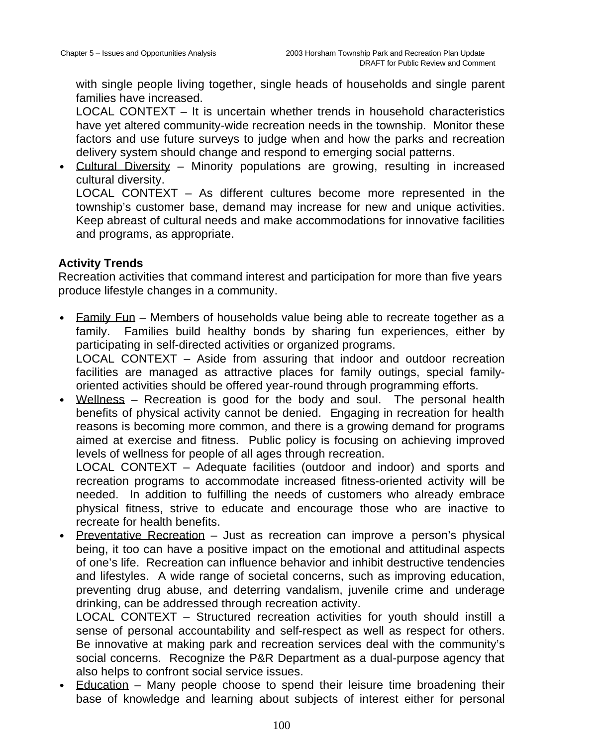with single people living together, single heads of households and single parent families have increased.

LOCAL CONTEXT – It is uncertain whether trends in household characteristics have yet altered community-wide recreation needs in the township. Monitor these factors and use future surveys to judge when and how the parks and recreation delivery system should change and respond to emerging social patterns.

• Cultural Diversity – Minority populations are growing, resulting in increased cultural diversity.

LOCAL CONTEXT – As different cultures become more represented in the township's customer base, demand may increase for new and unique activities. Keep abreast of cultural needs and make accommodations for innovative facilities and programs, as appropriate.

## **Activity Trends**

Recreation activities that command interest and participation for more than five years produce lifestyle changes in a community.

- Eamily Fun Members of households value being able to recreate together as a family. Families build healthy bonds by sharing fun experiences, either by participating in self-directed activities or organized programs. LOCAL CONTEXT – Aside from assuring that indoor and outdoor recreation facilities are managed as attractive places for family outings, special familyoriented activities should be offered year-round through programming efforts.
- Wellness Recreation is good for the body and soul. The personal health benefits of physical activity cannot be denied. Engaging in recreation for health reasons is becoming more common, and there is a growing demand for programs aimed at exercise and fitness. Public policy is focusing on achieving improved levels of wellness for people of all ages through recreation.

LOCAL CONTEXT – Adequate facilities (outdoor and indoor) and sports and recreation programs to accommodate increased fitness-oriented activity will be needed. In addition to fulfilling the needs of customers who already embrace physical fitness, strive to educate and encourage those who are inactive to recreate for health benefits.

• Preventative Recreation – Just as recreation can improve a person's physical being, it too can have a positive impact on the emotional and attitudinal aspects of one's life. Recreation can influence behavior and inhibit destructive tendencies and lifestyles. A wide range of societal concerns, such as improving education, preventing drug abuse, and deterring vandalism, juvenile crime and underage drinking, can be addressed through recreation activity.

LOCAL CONTEXT - Structured recreation activities for youth should instill a sense of personal accountability and self-respect as well as respect for others. Be innovative at making park and recreation services deal with the community's social concerns. Recognize the P&R Department as a dual-purpose agency that also helps to confront social service issues.

• Education – Many people choose to spend their leisure time broadening their base of knowledge and learning about subjects of interest either for personal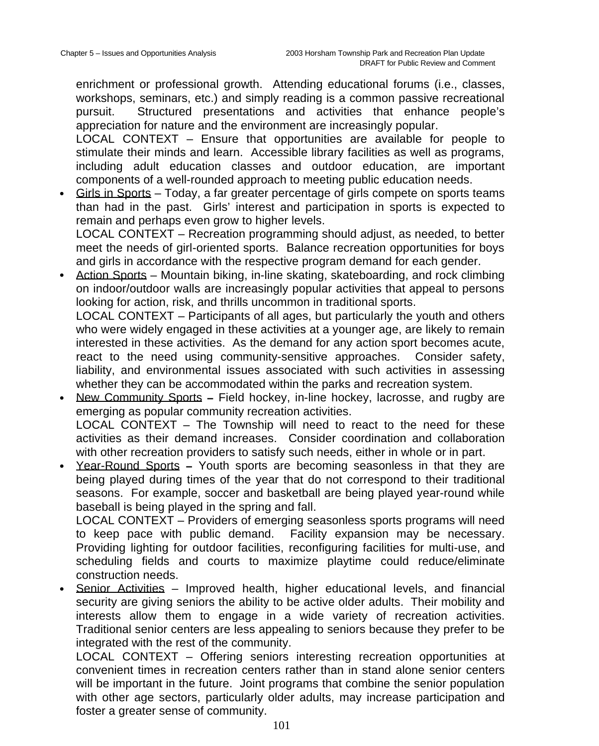enrichment or professional growth. Attending educational forums (i.e., classes, workshops, seminars, etc.) and simply reading is a common passive recreational pursuit. Structured presentations and activities that enhance people's appreciation for nature and the environment are increasingly popular.

LOCAL CONTEXT – Ensure that opportunities are available for people to stimulate their minds and learn. Accessible library facilities as well as programs, including adult education classes and outdoor education, are important components of a well-rounded approach to meeting public education needs.

• Girls in Sports – Today, a far greater percentage of girls compete on sports teams than had in the past. Girls' interest and participation in sports is expected to remain and perhaps even grow to higher levels. LOCAL CONTEXT – Recreation programming should adjust, as needed, to better

meet the needs of girl-oriented sports. Balance recreation opportunities for boys and girls in accordance with the respective program demand for each gender.

• Action Sports – Mountain biking, in-line skating, skateboarding, and rock climbing on indoor/outdoor walls are increasingly popular activities that appeal to persons looking for action, risk, and thrills uncommon in traditional sports.

LOCAL CONTEXT – Participants of all ages, but particularly the youth and others who were widely engaged in these activities at a younger age, are likely to remain interested in these activities. As the demand for any action sport becomes acute, react to the need using community-sensitive approaches. Consider safety, liability, and environmental issues associated with such activities in assessing whether they can be accommodated within the parks and recreation system.

- New Community Sports **–** Field hockey, in-line hockey, lacrosse, and rugby are emerging as popular community recreation activities. LOCAL CONTEXT – The Township will need to react to the need for these activities as their demand increases. Consider coordination and collaboration with other recreation providers to satisfy such needs, either in whole or in part.
- Year-Round Sports **–** Youth sports are becoming seasonless in that they are being played during times of the year that do not correspond to their traditional seasons. For example, soccer and basketball are being played year-round while baseball is being played in the spring and fall.

LOCAL CONTEXT – Providers of emerging seasonless sports programs will need to keep pace with public demand. Facility expansion may be necessary. Providing lighting for outdoor facilities, reconfiguring facilities for multi-use, and scheduling fields and courts to maximize playtime could reduce/eliminate construction needs.

• Senior Activities – Improved health, higher educational levels, and financial security are giving seniors the ability to be active older adults. Their mobility and interests allow them to engage in a wide variety of recreation activities. Traditional senior centers are less appealing to seniors because they prefer to be integrated with the rest of the community.

LOCAL CONTEXT – Offering seniors interesting recreation opportunities at convenient times in recreation centers rather than in stand alone senior centers will be important in the future. Joint programs that combine the senior population with other age sectors, particularly older adults, may increase participation and foster a greater sense of community.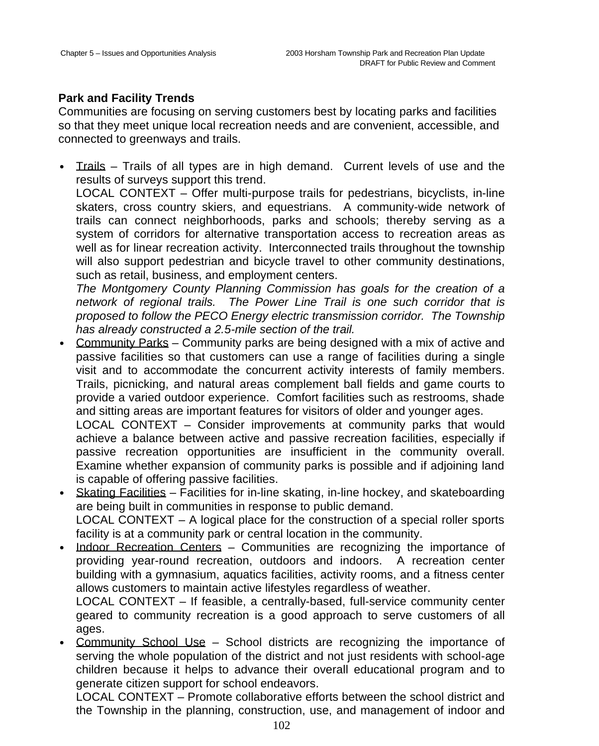## **Park and Facility Trends**

Communities are focusing on serving customers best by locating parks and facilities so that they meet unique local recreation needs and are convenient, accessible, and connected to greenways and trails.

• Trails – Trails of all types are in high demand. Current levels of use and the results of surveys support this trend.

LOCAL CONTEXT – Offer multi-purpose trails for pedestrians, bicyclists, in-line skaters, cross country skiers, and equestrians. A community-wide network of trails can connect neighborhoods, parks and schools; thereby serving as a system of corridors for alternative transportation access to recreation areas as well as for linear recreation activity. Interconnected trails throughout the township will also support pedestrian and bicycle travel to other community destinations, such as retail, business, and employment centers.

*The Montgomery County Planning Commission has goals for the creation of a network of regional trails. The Power Line Trail is one such corridor that is proposed to follow the PECO Energy electric transmission corridor. The Township has already constructed a 2.5-mile section of the trail.*

• Community Parks – Community parks are being designed with a mix of active and passive facilities so that customers can use a range of facilities during a single visit and to accommodate the concurrent activity interests of family members. Trails, picnicking, and natural areas complement ball fields and game courts to provide a varied outdoor experience. Comfort facilities such as restrooms, shade and sitting areas are important features for visitors of older and younger ages.

LOCAL CONTEXT – Consider improvements at community parks that would achieve a balance between active and passive recreation facilities, especially if passive recreation opportunities are insufficient in the community overall. Examine whether expansion of community parks is possible and if adjoining land is capable of offering passive facilities.

- Skating Facilities Facilities for in-line skating, in-line hockey, and skateboarding are being built in communities in response to public demand. LOCAL CONTEXT – A logical place for the construction of a special roller sports facility is at a community park or central location in the community.
- Indoor Recreation Centers Communities are recognizing the importance of providing year-round recreation, outdoors and indoors. A recreation center building with a gymnasium, aquatics facilities, activity rooms, and a fitness center allows customers to maintain active lifestyles regardless of weather.

LOCAL CONTEXT – If feasible, a centrally-based, full-service community center geared to community recreation is a good approach to serve customers of all ages.

• Community School Use – School districts are recognizing the importance of serving the whole population of the district and not just residents with school-age children because it helps to advance their overall educational program and to generate citizen support for school endeavors.

LOCAL CONTEXT – Promote collaborative efforts between the school district and the Township in the planning, construction, use, and management of indoor and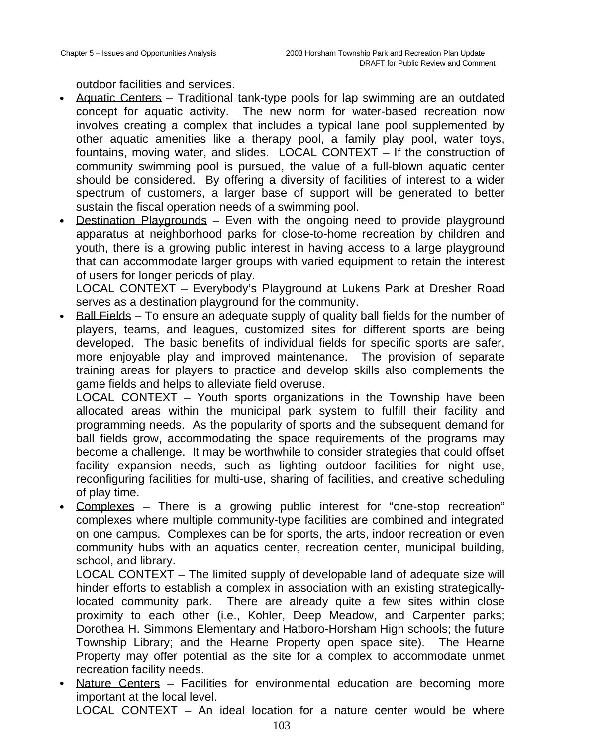outdoor facilities and services.

- Aquatic Centers Traditional tank-type pools for lap swimming are an outdated concept for aquatic activity. The new norm for water-based recreation now involves creating a complex that includes a typical lane pool supplemented by other aquatic amenities like a therapy pool, a family play pool, water toys, fountains, moving water, and slides. LOCAL CONTEXT – If the construction of community swimming pool is pursued, the value of a full-blown aquatic center should be considered. By offering a diversity of facilities of interest to a wider spectrum of customers, a larger base of support will be generated to better sustain the fiscal operation needs of a swimming pool.
- Destination Playgrounds Even with the ongoing need to provide playground apparatus at neighborhood parks for close-to-home recreation by children and youth, there is a growing public interest in having access to a large playground that can accommodate larger groups with varied equipment to retain the interest of users for longer periods of play.

LOCAL CONTEXT – Everybody's Playground at Lukens Park at Dresher Road serves as a destination playground for the community.

• Ball Fields – To ensure an adequate supply of quality ball fields for the number of players, teams, and leagues, customized sites for different sports are being developed. The basic benefits of individual fields for specific sports are safer, more enjoyable play and improved maintenance. The provision of separate training areas for players to practice and develop skills also complements the game fields and helps to alleviate field overuse.

LOCAL CONTEXT – Youth sports organizations in the Township have been allocated areas within the municipal park system to fulfill their facility and programming needs. As the popularity of sports and the subsequent demand for ball fields grow, accommodating the space requirements of the programs may become a challenge. It may be worthwhile to consider strategies that could offset facility expansion needs, such as lighting outdoor facilities for night use, reconfiguring facilities for multi-use, sharing of facilities, and creative scheduling of play time.

• Complexes – There is a growing public interest for "one-stop recreation" complexes where multiple community-type facilities are combined and integrated on one campus. Complexes can be for sports, the arts, indoor recreation or even community hubs with an aquatics center, recreation center, municipal building, school, and library.

LOCAL CONTEXT – The limited supply of developable land of adequate size will hinder efforts to establish a complex in association with an existing strategicallylocated community park. There are already quite a few sites within close proximity to each other (i.e., Kohler, Deep Meadow, and Carpenter parks; Dorothea H. Simmons Elementary and Hatboro-Horsham High schools; the future Township Library; and the Hearne Property open space site). The Hearne Property may offer potential as the site for a complex to accommodate unmet recreation facility needs.

Nature Centers – Facilities for environmental education are becoming more important at the local level. LOCAL CONTEXT – An ideal location for a nature center would be where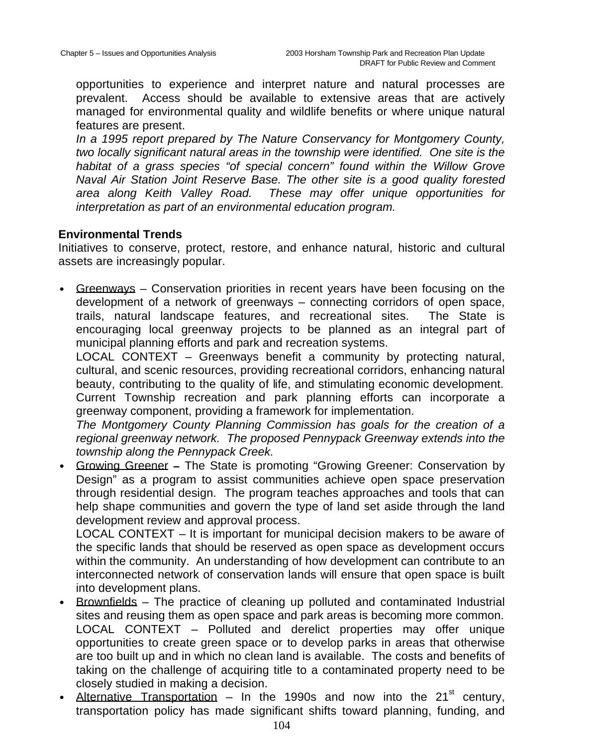opportunities to experience and interpret nature and natural processes are prevalent. Access should be available to extensive areas that are actively managed for environmental quality and wildlife benefits or where unique natural features are present.

*In a 1995 report prepared by The Nature Conservancy for Montgomery County, two locally significant natural areas in the township were identified. One site is the habitat of a grass species "of special concern" found within the Willow Grove Naval Air Station Joint Reserve Base. The other site is a good quality forested area along Keith Valley Road. These may offer unique opportunities for interpretation as part of an environmental education program.*

#### **Environmental Trends**

Initiatives to conserve, protect, restore, and enhance natural, historic and cultural assets are increasingly popular.

• Greenways – Conservation priorities in recent years have been focusing on the development of a network of greenways – connecting corridors of open space, trails, natural landscape features, and recreational sites. The State is encouraging local greenway projects to be planned as an integral part of municipal planning efforts and park and recreation systems.

LOCAL CONTEXT – Greenways benefit a community by protecting natural, cultural, and scenic resources, providing recreational corridors, enhancing natural beauty, contributing to the quality of life, and stimulating economic development. Current Township recreation and park planning efforts can incorporate a greenway component, providing a framework for implementation.

*The Montgomery County Planning Commission has goals for the creation of a regional greenway network. The proposed Pennypack Greenway extends into the township along the Pennypack Creek.*

• Growing Greener **–** The State is promoting "Growing Greener: Conservation by Design" as a program to assist communities achieve open space preservation through residential design. The program teaches approaches and tools that can help shape communities and govern the type of land set aside through the land development review and approval process.

LOCAL CONTEXT – It is important for municipal decision makers to be aware of the specific lands that should be reserved as open space as development occurs within the community. An understanding of how development can contribute to an interconnected network of conservation lands will ensure that open space is built into development plans.

- Brownfields The practice of cleaning up polluted and contaminated Industrial sites and reusing them as open space and park areas is becoming more common. LOCAL CONTEXT – Polluted and derelict properties may offer unique opportunities to create green space or to develop parks in areas that otherwise are too built up and in which no clean land is available. The costs and benefits of taking on the challenge of acquiring title to a contaminated property need to be closely studied in making a decision.
- Alternative Transportation In the 1990s and now into the 21 $^{\rm st}$  century, transportation policy has made significant shifts toward planning, funding, and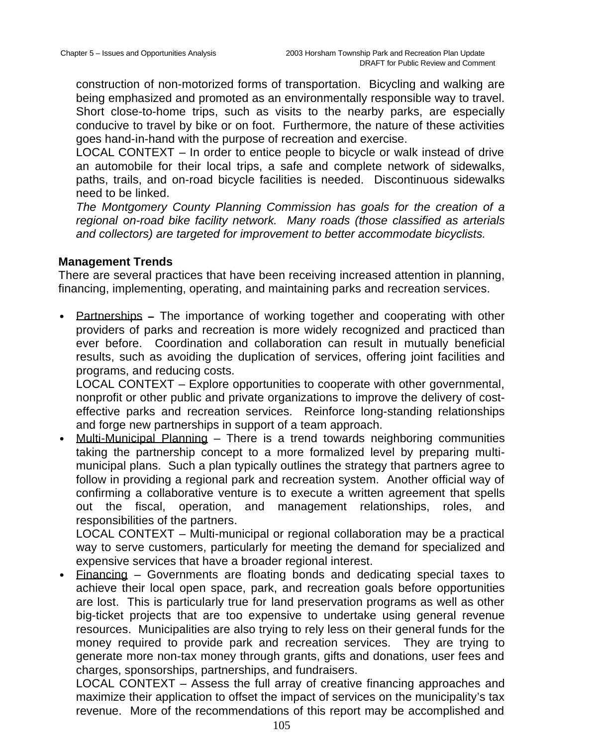construction of non-motorized forms of transportation. Bicycling and walking are being emphasized and promoted as an environmentally responsible way to travel. Short close-to-home trips, such as visits to the nearby parks, are especially conducive to travel by bike or on foot. Furthermore, the nature of these activities goes hand-in-hand with the purpose of recreation and exercise.

LOCAL CONTEXT – In order to entice people to bicycle or walk instead of drive an automobile for their local trips, a safe and complete network of sidewalks, paths, trails, and on-road bicycle facilities is needed. Discontinuous sidewalks need to be linked.

*The Montgomery County Planning Commission has goals for the creation of a regional on-road bike facility network. Many roads (those classified as arterials and collectors) are targeted for improvement to better accommodate bicyclists.*

## **Management Trends**

There are several practices that have been receiving increased attention in planning, financing, implementing, operating, and maintaining parks and recreation services.

• Partnerships **–** The importance of working together and cooperating with other providers of parks and recreation is more widely recognized and practiced than ever before. Coordination and collaboration can result in mutually beneficial results, such as avoiding the duplication of services, offering joint facilities and programs, and reducing costs.

LOCAL CONTEXT – Explore opportunities to cooperate with other governmental, nonprofit or other public and private organizations to improve the delivery of costeffective parks and recreation services. Reinforce long-standing relationships and forge new partnerships in support of a team approach.

• Multi-Municipal Planning – There is a trend towards neighboring communities taking the partnership concept to a more formalized level by preparing multimunicipal plans. Such a plan typically outlines the strategy that partners agree to follow in providing a regional park and recreation system. Another official way of confirming a collaborative venture is to execute a written agreement that spells out the fiscal, operation, and management relationships, roles, and responsibilities of the partners.

LOCAL CONTEXT – Multi-municipal or regional collaboration may be a practical way to serve customers, particularly for meeting the demand for specialized and expensive services that have a broader regional interest.

• Financing – Governments are floating bonds and dedicating special taxes to achieve their local open space, park, and recreation goals before opportunities are lost. This is particularly true for land preservation programs as well as other big-ticket projects that are too expensive to undertake using general revenue resources. Municipalities are also trying to rely less on their general funds for the money required to provide park and recreation services. They are trying to generate more non-tax money through grants, gifts and donations, user fees and charges, sponsorships, partnerships, and fundraisers.

LOCAL CONTEXT – Assess the full array of creative financing approaches and maximize their application to offset the impact of services on the municipality's tax revenue. More of the recommendations of this report may be accomplished and